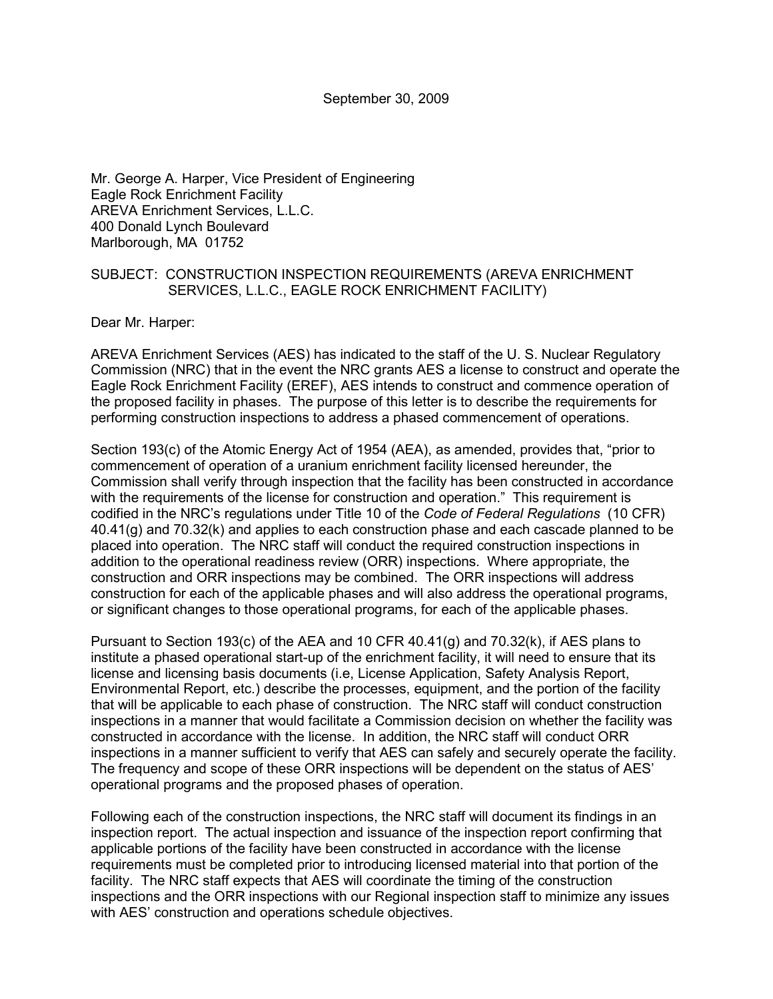September 30, 2009

Mr. George A. Harper, Vice President of Engineering Eagle Rock Enrichment Facility AREVA Enrichment Services, L.L.C. 400 Donald Lynch Boulevard Marlborough, MA 01752

## SUBJECT: CONSTRUCTION INSPECTION REQUIREMENTS (AREVA ENRICHMENT SERVICES, L.L.C., EAGLE ROCK ENRICHMENT FACILITY)

Dear Mr. Harper:

AREVA Enrichment Services (AES) has indicated to the staff of the U. S. Nuclear Regulatory Commission (NRC) that in the event the NRC grants AES a license to construct and operate the Eagle Rock Enrichment Facility (EREF), AES intends to construct and commence operation of the proposed facility in phases. The purpose of this letter is to describe the requirements for performing construction inspections to address a phased commencement of operations.

Section 193(c) of the Atomic Energy Act of 1954 (AEA), as amended, provides that, "prior to commencement of operation of a uranium enrichment facility licensed hereunder, the Commission shall verify through inspection that the facility has been constructed in accordance with the requirements of the license for construction and operation." This requirement is codified in the NRC's regulations under Title 10 of the *Code of Federal Regulations* (10 CFR) 40.41(g) and 70.32(k) and applies to each construction phase and each cascade planned to be placed into operation. The NRC staff will conduct the required construction inspections in addition to the operational readiness review (ORR) inspections. Where appropriate, the construction and ORR inspections may be combined. The ORR inspections will address construction for each of the applicable phases and will also address the operational programs, or significant changes to those operational programs, for each of the applicable phases.

Pursuant to Section 193(c) of the AEA and 10 CFR 40.41(g) and 70.32(k), if AES plans to institute a phased operational start-up of the enrichment facility, it will need to ensure that its license and licensing basis documents (i.e, License Application, Safety Analysis Report, Environmental Report, etc.) describe the processes, equipment, and the portion of the facility that will be applicable to each phase of construction. The NRC staff will conduct construction inspections in a manner that would facilitate a Commission decision on whether the facility was constructed in accordance with the license. In addition, the NRC staff will conduct ORR inspections in a manner sufficient to verify that AES can safely and securely operate the facility. The frequency and scope of these ORR inspections will be dependent on the status of AES' operational programs and the proposed phases of operation.

Following each of the construction inspections, the NRC staff will document its findings in an inspection report. The actual inspection and issuance of the inspection report confirming that applicable portions of the facility have been constructed in accordance with the license requirements must be completed prior to introducing licensed material into that portion of the facility. The NRC staff expects that AES will coordinate the timing of the construction inspections and the ORR inspections with our Regional inspection staff to minimize any issues with AES' construction and operations schedule objectives.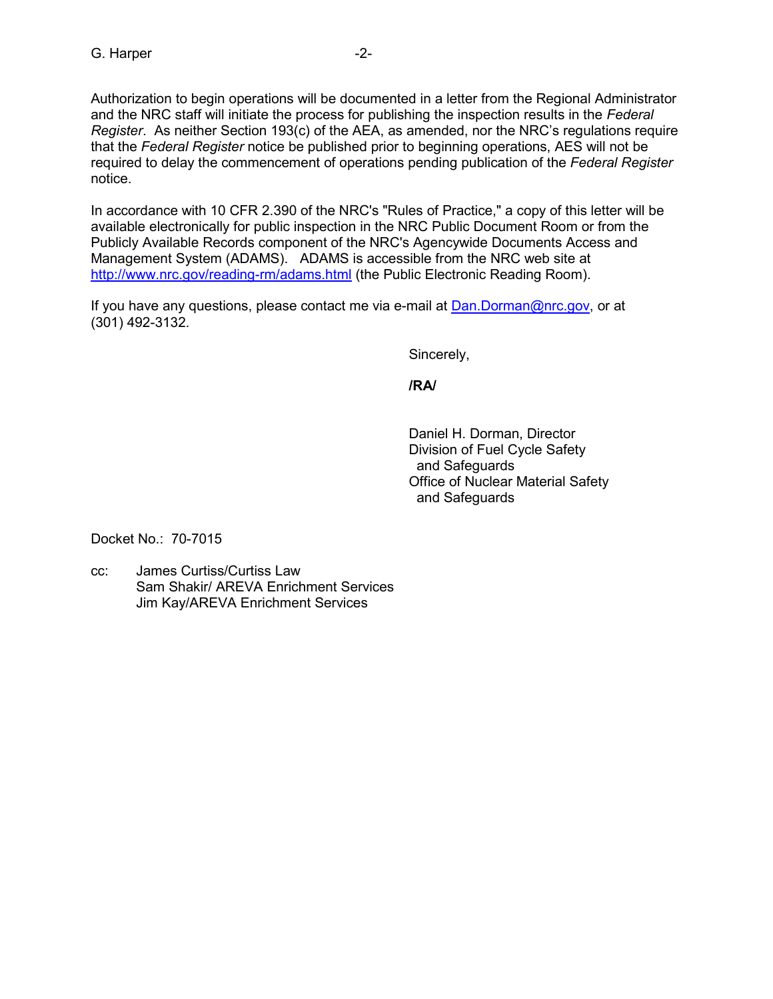In accordance with 10 CFR 2.390 of the NRC's "Rules of Practice," a copy of this letter will be available electronically for public inspection in the NRC Public Document Room or from the Publicly Available Records component of the NRC's Agencywide Documents Access and Management System (ADAMS). ADAMS is accessible from the NRC web site at http://www.nrc.gov/reading-rm/adams.html (the Public Electronic Reading Room).

If you have any questions, please contact me via e-mail at Dan.Dorman@nrc.gov, or at (301) 492-3132.

Sincerely,

**/RA/** 

 Daniel H. Dorman, Director Division of Fuel Cycle Safety and Safeguards Office of Nuclear Material Safety and Safeguards

Docket No.: 70-7015

cc: James Curtiss/Curtiss Law Sam Shakir/ AREVA Enrichment Services Jim Kay/AREVA Enrichment Services